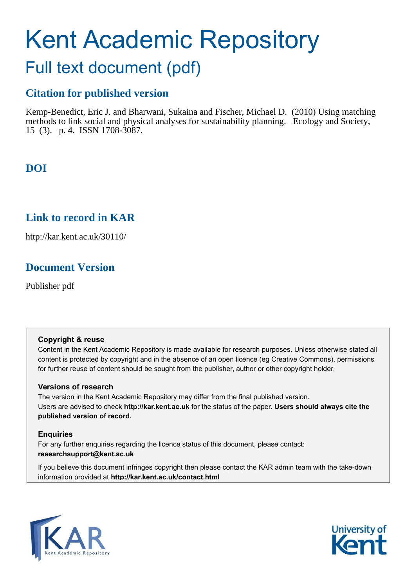# Kent Academic Repository Full text document (pdf)

# **Citation for published version**

Kemp-Benedict, Eric J. and Bharwani, Sukaina and Fischer, Michael D. (2010) Using matching methods to link social and physical analyses for sustainability planning. Ecology and Society, 15 (3). p. 4. ISSN 1708-3087.

# **DOI**

# **Link to record in KAR**

http://kar.kent.ac.uk/30110/

# **Document Version**

Publisher pdf

## **Copyright & reuse**

Content in the Kent Academic Repository is made available for research purposes. Unless otherwise stated all content is protected by copyright and in the absence of an open licence (eg Creative Commons), permissions for further reuse of content should be sought from the publisher, author or other copyright holder.

## **Versions of research**

The version in the Kent Academic Repository may differ from the final published version. Users are advised to check **http://kar.kent.ac.uk** for the status of the paper. **Users should always cite the published version of record.**

## **Enquiries**

For any further enquiries regarding the licence status of this document, please contact: **researchsupport@kent.ac.uk**

If you believe this document infringes copyright then please contact the KAR admin team with the take-down information provided at **http://kar.kent.ac.uk/contact.html**



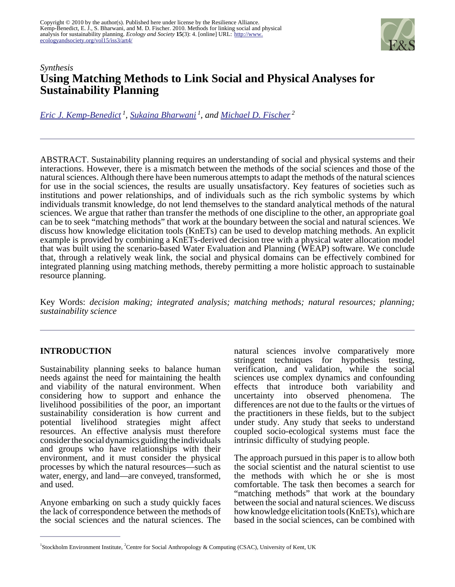

# *Synthesis* **Using Matching Methods to Link Social and Physical Analyses for Sustainability Planning**

*[Eric J. Kemp-Benedict](mailto:erickb@sei-us.org)<sup>1</sup> , [Sukaina Bharwani](mailto:sukaina.bharwani@sei.se)<sup>1</sup>, and [Michael D. Fischer](mailto:M.D.Fischer@kent.ac.uk)<sup>2</sup>*

ABSTRACT. Sustainability planning requires an understanding of social and physical systems and their interactions. However, there is a mismatch between the methods of the social sciences and those of the natural sciences. Although there have been numerous attempts to adapt the methods of the natural sciences for use in the social sciences, the results are usually unsatisfactory. Key features of societies such as institutions and power relationships, and of individuals such as the rich symbolic systems by which individuals transmit knowledge, do not lend themselves to the standard analytical methods of the natural sciences. We argue that rather than transfer the methods of one discipline to the other, an appropriate goal can be to seek "matching methods" that work at the boundary between the social and natural sciences. We discuss how knowledge elicitation tools (KnETs) can be used to develop matching methods. An explicit example is provided by combining a KnETs-derived decision tree with a physical water allocation model that was built using the scenario-based Water Evaluation and Planning (WEAP) software. We conclude that, through a relatively weak link, the social and physical domains can be effectively combined for integrated planning using matching methods, thereby permitting a more holistic approach to sustainable resource planning.

Key Words: *decision making; integrated analysis; matching methods; natural resources; planning; sustainability science*

#### **INTRODUCTION**

Sustainability planning seeks to balance human needs against the need for maintaining the health and viability of the natural environment. When considering how to support and enhance the livelihood possibilities of the poor, an important sustainability consideration is how current and potential livelihood strategies might affect resources. An effective analysis must therefore consider the social dynamics guiding the individuals and groups who have relationships with their environment, and it must consider the physical processes by which the natural resources—such as water, energy, and land—are conveyed, transformed, and used.

Anyone embarking on such a study quickly faces the lack of correspondence between the methods of the social sciences and the natural sciences. The natural sciences involve comparatively more stringent techniques for hypothesis testing, verification, and validation, while the social sciences use complex dynamics and confounding effects that introduce both variability and uncertainty into observed phenomena. The differences are not due to the faults or the virtues of the practitioners in these fields, but to the subject under study. Any study that seeks to understand coupled socio-ecological systems must face the intrinsic difficulty of studying people.

The approach pursued in this paper is to allow both the social scientist and the natural scientist to use the methods with which he or she is most comfortable. The task then becomes a search for "matching methods" that work at the boundary between the social and natural sciences. We discuss how knowledge elicitation tools (KnETs), which are based in the social sciences, can be combined with

<sup>&</sup>lt;sup>1</sup>Stockholm Environment Institute, <sup>2</sup>Centre for Social Anthropology & Computing (CSAC), University of Kent, UK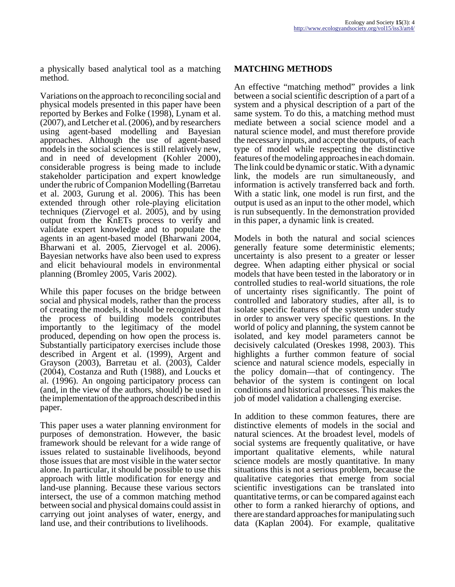a physically based analytical tool as a matching method.

Variations on the approach to reconciling social and physical models presented in this paper have been reported by Berkes and Folke (1998), Lynam et al. (2007), and Letcher et al. (2006), and by researchers using agent-based modelling and Bayesian approaches. Although the use of agent-based models in the social sciences is still relatively new, and in need of development (Kohler 2000), considerable progress is being made to include stakeholder participation and expert knowledge under the rubric of Companion Modelling (Barretau et al. 2003, Gurung et al. 2006). This has been extended through other role-playing elicitation techniques (Ziervogel et al. 2005), and by using output from the KnETs process to verify and validate expert knowledge and to populate the agents in an agent-based model (Bharwani 2004, Bharwani et al. 2005, Ziervogel et al. 2006). Bayesian networks have also been used to express and elicit behavioural models in environmental planning (Bromley 2005, Varis 2002).

While this paper focuses on the bridge between social and physical models, rather than the process of creating the models, it should be recognized that the process of building models contributes importantly to the legitimacy of the model produced, depending on how open the process is. Substantially participatory exercises include those described in Argent et al. (1999), Argent and Grayson (2003), Barretau et al. (2003), Calder (2004), Costanza and Ruth (1988), and Loucks et al. (1996). An ongoing participatory process can (and, in the view of the authors, should) be used in the implementation of the approach described in this paper.

This paper uses a water planning environment for purposes of demonstration. However, the basic framework should be relevant for a wide range of issues related to sustainable livelihoods, beyond those issues that are most visible in the water sector alone. In particular, it should be possible to use this approach with little modification for energy and land-use planning. Because these various sectors intersect, the use of a common matching method between social and physical domains could assist in carrying out joint analyses of water, energy, and land use, and their contributions to livelihoods.

#### **MATCHING METHODS**

An effective "matching method" provides a link between a social scientific description of a part of a system and a physical description of a part of the same system. To do this, a matching method must mediate between a social science model and a natural science model, and must therefore provide the necessary inputs, and accept the outputs, of each type of model while respecting the distinctive features of the modeling approaches in each domain. The link could be dynamic or static. With a dynamic link, the models are run simultaneously, and information is actively transferred back and forth. With a static link, one model is run first, and the output is used as an input to the other model, which is run subsequently. In the demonstration provided in this paper, a dynamic link is created.

Models in both the natural and social sciences generally feature some deterministic elements; uncertainty is also present to a greater or lesser degree. When adapting either physical or social models that have been tested in the laboratory or in controlled studies to real-world situations, the role of uncertainty rises significantly. The point of controlled and laboratory studies, after all, is to isolate specific features of the system under study in order to answer very specific questions. In the world of policy and planning, the system cannot be isolated, and key model parameters cannot be decisively calculated (Oreskes 1998, 2003). This highlights a further common feature of social science and natural science models, especially in the policy domain—that of contingency. The behavior of the system is contingent on local conditions and historical processes. This makes the job of model validation a challenging exercise.

In addition to these common features, there are distinctive elements of models in the social and natural sciences. At the broadest level, models of social systems are frequently qualitative, or have important qualitative elements, while natural science models are mostly quantitative. In many situations this is not a serious problem, because the qualitative categories that emerge from social scientific investigations can be translated into quantitative terms, or can be compared against each other to form a ranked hierarchy of options, and there are standard approaches for manipulating such data (Kaplan 2004). For example, qualitative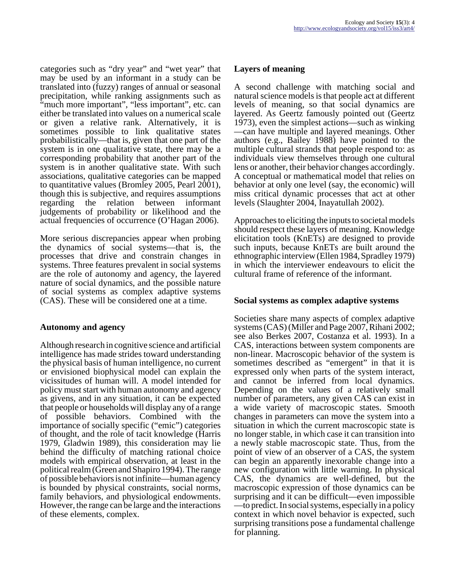categories such as "dry year" and "wet year" that may be used by an informant in a study can be translated into (fuzzy) ranges of annual or seasonal precipitation, while ranking assignments such as "much more important", "less important", etc. can either be translated into values on a numerical scale or given a relative rank. Alternatively, it is sometimes possible to link qualitative states probabilistically—that is, given that one part of the system is in one qualitative state, there may be a corresponding probability that another part of the system is in another qualitative state. With such associations, qualitative categories can be mapped to quantitative values (Bromley 2005, Pearl 2001), though this is subjective, and requires assumptions regarding the relation between informant judgements of probability or likelihood and the actual frequencies of occurrence (O'Hagan 2006).

More serious discrepancies appear when probing the dynamics of social systems—that is, the processes that drive and constrain changes in systems. Three features prevalent in social systems are the role of autonomy and agency, the layered nature of social dynamics, and the possible nature of social systems as complex adaptive systems (CAS). These will be considered one at a time.

#### **Autonomy and agency**

Although research in cognitive science and artificial intelligence has made strides toward understanding the physical basis of human intelligence, no current or envisioned biophysical model can explain the vicissitudes of human will. A model intended for policy must start with human autonomy and agency as givens, and in any situation, it can be expected that people or households will display any of a range of possible behaviors. Combined with the importance of socially specific ("emic") categories of thought, and the role of tacit knowledge (Harris 1979, Gladwin 1989), this consideration may lie behind the difficulty of matching rational choice models with empirical observation, at least in the political realm (Green and Shapiro 1994). The range of possible behaviors is not infinite—human agency is bounded by physical constraints, social norms, family behaviors, and physiological endowments. However, the range can be large and the interactions of these elements, complex.

#### **Layers of meaning**

A second challenge with matching social and natural science models is that people act at different levels of meaning, so that social dynamics are layered. As Geertz famously pointed out (Geertz 1973), even the simplest actions—such as winking —can have multiple and layered meanings. Other authors (e.g., Bailey 1988) have pointed to the multiple cultural strands that people respond to: as individuals view themselves through one cultural lens or another, their behavior changes accordingly. A conceptual or mathematical model that relies on behavior at only one level (say, the economic) will miss critical dynamic processes that act at other levels (Slaughter 2004, Inayatullah 2002).

Approaches to eliciting the inputs to societal models should respect these layers of meaning. Knowledge elicitation tools (KnETs) are designed to provide such inputs, because KnETs are built around the ethnographic interview (Ellen 1984, Spradley 1979) in which the interviewer endeavours to elicit the cultural frame of reference of the informant.

#### **Social systems as complex adaptive systems**

Societies share many aspects of complex adaptive systems (CAS) (Miller and Page 2007, Rihani 2002; see also Berkes 2007, Costanza et al. 1993). In a CAS, interactions between system components are non-linear. Macroscopic behavior of the system is sometimes described as "emergent" in that it is expressed only when parts of the system interact, and cannot be inferred from local dynamics. Depending on the values of a relatively small number of parameters, any given CAS can exist in a wide variety of macroscopic states. Smooth changes in parameters can move the system into a situation in which the current macroscopic state is no longer stable, in which case it can transition into a newly stable macroscopic state. Thus, from the point of view of an observer of a CAS, the system can begin an apparently inexorable change into a new configuration with little warning. In physical CAS, the dynamics are well-defined, but the macroscopic expression of those dynamics can be surprising and it can be difficult—even impossible —to predict. In social systems, especially in a policy context in which novel behavior is expected, such surprising transitions pose a fundamental challenge for planning.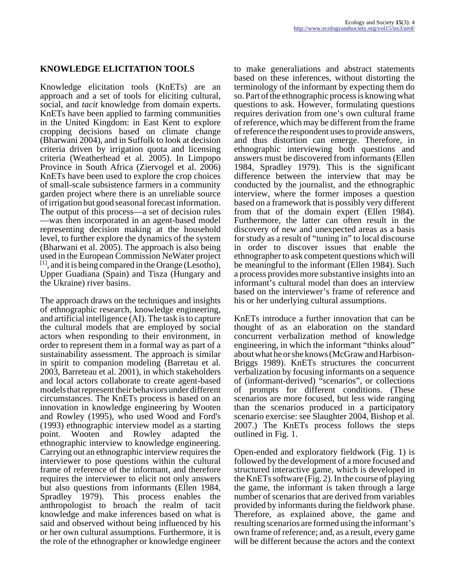#### **KNOWLEDGE ELICITATION TOOLS**

Knowledge elicitation tools (KnETs) are an approach and a set of tools for eliciting cultural, social, and *tacit* knowledge from domain experts. KnETs have been applied to farming communities in the United Kingdom: in East Kent to explore cropping decisions based on climate change (Bharwani 2004), and in Suffolk to look at decision criteria driven by irrigation quota and licensing criteria (Weatherhead et al. 2005). In Limpopo Province in South Africa (Ziervogel et al. 2006) KnETs have been used to explore the crop choices of small-scale subsistence farmers in a community garden project where there is an unreliable source of irrigation but good seasonal forecast information. The output of this process—a set of decision rules —was then incorporated in an agent-based model representing decision making at the household level, to further explore the dynamics of the system (Bharwani et al. 2005). The approach is also being used in the European Commission NeWater project  $[1]$ , and it is being compared in the Orange (Lesotho), Upper Guadiana (Spain) and Tisza (Hungary and the Ukraine) river basins.

The approach draws on the techniques and insights of ethnographic research, knowledge engineering, and artificial intelligence (AI). The task is to capture the cultural models that are employed by social actors when responding to their environment, in order to represent them in a formal way as part of a sustainability assessment. The approach is similar in spirit to companion modeling (Barretau et al. 2003, Barreteau et al. 2001), in which stakeholders and local actors collaborate to create agent-based models that represent their behaviors under different circumstances. The KnETs process is based on an innovation in knowledge engineering by Wooten and Rowley (1995), who used Wood and Ford's (1993) ethnographic interview model as a starting point. Wooten and Rowley adapted the ethnographic interview to knowledge engineering. Carrying out an ethnographic interview requires the interviewer to pose questions within the cultural frame of reference of the informant, and therefore requires the interviewer to elicit not only answers but also questions from informants (Ellen 1984, Spradley 1979). This process enables the anthropologist to broach the realm of tacit knowledge and make inferences based on what is said and observed without being influenced by his or her own cultural assumptions. Furthermore, it is the role of the ethnographer or knowledge engineer

to make generaliations and abstract statements based on these inferences, without distorting the terminology of the informant by expecting them do so. Part of the ethnographic process is knowing what questions to ask. However, formulating questions requires derivation from one's own cultural frame of reference, which may be different from the frame of reference the respondent uses to provide answers, and thus distortion can emerge. Therefore, in ethnographic interviewing both questions and answers must be discovered from informants (Ellen 1984, Spradley 1979). This is the significant difference between the interview that may be conducted by the journalist, and the ethnographic interview, where the former imposes a question based on a framework that is possibly very different from that of the domain expert (Ellen 1984). Furthermore, the latter can often result in the discovery of new and unexpected areas as a basis for study as a result of "tuning in" to local discourse in order to discover issues that enable the ethnographer to ask competent questions which will be meaningful to the informant (Ellen 1984). Such a process provides more substantive insights into an informant's cultural model than does an interview based on the interviewer's frame of reference and his or her underlying cultural assumptions.

KnETs introduce a further innovation that can be thought of as an elaboration on the standard concurrent verbalization method of knowledge engineering, in which the informant "thinks aloud" about what he or she knows (McGraw and Harbison-Briggs 1989). KnETs structures the concurrent verbalization by focusing informants on a sequence of (informant-derived) "scenarios", or collections of prompts for different conditions. (These scenarios are more focused, but less wide ranging than the scenarios produced in a participatory scenario exercise: see Slaughter 2004, Bishop et al. 2007.) The KnETs process follows the steps outlined in Fig. 1.

Open-ended and exploratory fieldwork (Fig. 1) is followed by the development of a more focused and structured interactive game, which is developed in the KnETs software (Fig. 2). In the course of playing the game, the informant is taken through a large number of scenarios that are derived from variables provided by informants during the fieldwork phase. Therefore, as explained above, the game and resulting scenarios are formed using the informant's own frame of reference; and, as a result, every game will be different because the actors and the context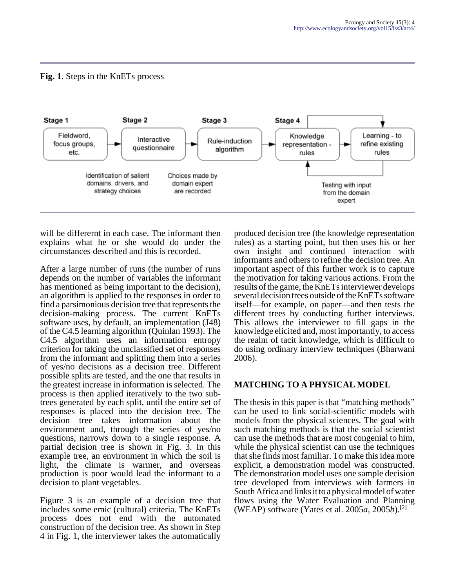



will be differernt in each case. The informant then explains what he or she would do under the circumstances described and this is recorded.

After a large number of runs (the number of runs depends on the number of variables the informant has mentioned as being important to the decision), an algorithm is applied to the responses in order to find a parsimonious decision tree that represents the decision-making process. The current KnETs software uses, by default, an implementation (J48) of the C4.5 learning algorithm (Quinlan 1993). The C4.5 algorithm uses an information entropy criterion for taking the unclassified set of responses from the informant and splitting them into a series of yes/no decisions as a decision tree. Different possible splits are tested, and the one that results in the greatest increase in information is selected. The process is then applied iteratively to the two subtrees generated by each split, until the entire set of responses is placed into the decision tree. The decision tree takes information about the environment and, through the series of yes/no questions, narrows down to a single response. A partial decision tree is shown in Fig. 3. In this example tree, an environment in which the soil is light, the climate is warmer, and overseas production is poor would lead the informant to a decision to plant vegetables.

Figure 3 is an example of a decision tree that includes some emic (cultural) criteria. The KnETs process does not end with the automated construction of the decision tree. As shown in Step 4 in Fig. 1, the interviewer takes the automatically

produced decision tree (the knowledge representation rules) as a starting point, but then uses his or her own insight and continued interaction with informants and others to refine the decision tree. An important aspect of this further work is to capture the motivation for taking various actions. From the results of the game, the KnETs interviewer develops several decision trees outside of the KnETs software itself—for example, on paper—and then tests the different trees by conducting further interviews. This allows the interviewer to fill gaps in the knowledge elicited and, most importantly, to access the realm of tacit knowledge, which is difficult to do using ordinary interview techniques (Bharwani 2006).

## **MATCHING TO A PHYSICAL MODEL**

The thesis in this paper is that "matching methods" can be used to link social-scientific models with models from the physical sciences. The goal with such matching methods is that the social scientist can use the methods that are most congenial to him, while the physical scientist can use the techniques that she finds most familiar. To make this idea more explicit, a demonstration model was constructed. The demonstration model uses one sample decision tree developed from interviews with farmers in South Africa and links it to a physical model of water flows using the Water Evaluation and Planning (WEAP) software (Yates et al. 2005*a,* 2005*b*).[2]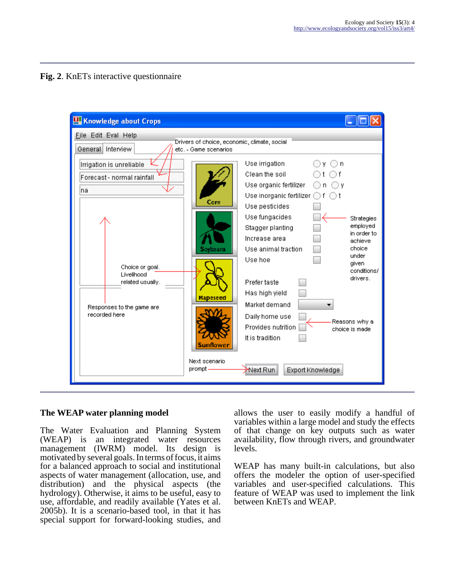#### **Fig. 2**. KnETs interactive questionnaire

| Knowledge about Crops                                                                                                                                             |                          |                                                                                                                                                                                                                                                                                                                                                                                                                                                                               |
|-------------------------------------------------------------------------------------------------------------------------------------------------------------------|--------------------------|-------------------------------------------------------------------------------------------------------------------------------------------------------------------------------------------------------------------------------------------------------------------------------------------------------------------------------------------------------------------------------------------------------------------------------------------------------------------------------|
| File Edit Eval Help<br>Drivers of choice, economic, climate, social<br>General Interview<br>etc. - Game scenarios                                                 |                          |                                                                                                                                                                                                                                                                                                                                                                                                                                                                               |
| Irrigation is unreliable<br>Forecast - normal rainfall<br>Ina.<br>Choice or goal.<br>Livelihood<br>related usually.<br>Responses to the game are<br>recorded here | Corn<br><b>Kapeseed</b>  | Use irrigation<br>Clean the soil<br>Use organic fertilizer<br>) v<br>Use inorganic fertilizer (<br>∋t<br>Use pesticides<br>Use fungacides<br>Strategies<br>employed<br>Stagger planting<br>in order to<br>Increase area<br>achieve<br>choice<br>Use animal traction<br>under<br>Use hoe<br>given.<br>conditions/<br>drivers.<br>Prefer taste<br>Has high yield<br>Market demand<br>Daily home use<br>Reasons why a<br>Provides nutrition<br>choice is made<br>It is tradition |
|                                                                                                                                                                   | Next scenario<br>prompt. | Next Run<br>Export Knowledge                                                                                                                                                                                                                                                                                                                                                                                                                                                  |

#### **The WEAP water planning model**

The Water Evaluation and Planning System (WEAP) is an integrated water resources management (IWRM) model. Its design is motivated by several goals. In terms of focus, it aims for a balanced approach to social and institutional aspects of water management (allocation, use, and distribution) and the physical aspects (the hydrology). Otherwise, it aims to be useful, easy to use, affordable, and readily available (Yates et al. 2005b). It is a scenario-based tool, in that it has special support for forward-looking studies, and allows the user to easily modify a handful of variables within a large model and study the effects of that change on key outputs such as water availability, flow through rivers, and groundwater levels.

WEAP has many built-in calculations, but also offers the modeler the option of user-specified variables and user-specified calculations. This feature of WEAP was used to implement the link between KnETs and WEAP.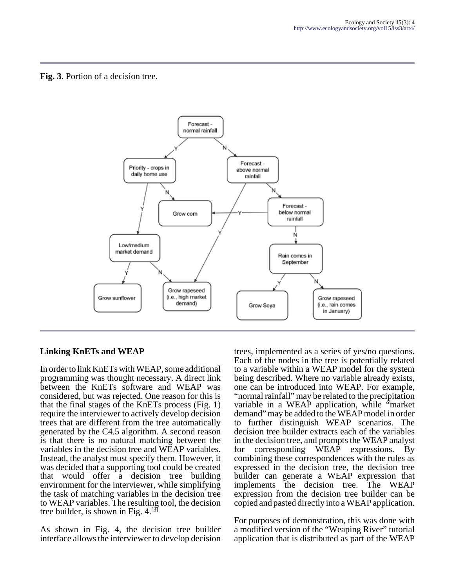#### **Fig. 3**. Portion of a decision tree.



#### **Linking KnETs and WEAP**

In order to link KnETs with WEAP, some additional programming was thought necessary. A direct link between the KnETs software and WEAP was considered, but was rejected. One reason for this is that the final stages of the KnETs process (Fig. 1) require the interviewer to actively develop decision trees that are different from the tree automatically generated by the C4.5 algorithm. A second reason is that there is no natural matching between the variables in the decision tree and WEAP variables. Instead, the analyst must specify them. However, it was decided that a supporting tool could be created that would offer a decision tree building environment for the interviewer, while simplifying the task of matching variables in the decision tree to WEAP variables. The resulting tool, the decision tree builder, is shown in Fig.  $4$ .<sup>[3]</sup>

As shown in Fig. 4, the decision tree builder interface allows the interviewer to develop decision

trees, implemented as a series of yes/no questions. Each of the nodes in the tree is potentially related to a variable within a WEAP model for the system being described. Where no variable already exists, one can be introduced into WEAP. For example, "normal rainfall" may be related to the precipitation variable in a WEAP application, while "market demand" may be added to the WEAP model in order to further distinguish WEAP scenarios. The decision tree builder extracts each of the variables in the decision tree, and prompts the WEAP analyst for corresponding WEAP expressions. By combining these correspondences with the rules as expressed in the decision tree, the decision tree builder can generate a WEAP expression that<br>implements the decision tree. The WEAP implements the decision tree. expression from the decision tree builder can be copied and pasted directly into a WEAP application.

For purposes of demonstration, this was done with a modified version of the "Weaping River" tutorial application that is distributed as part of the WEAP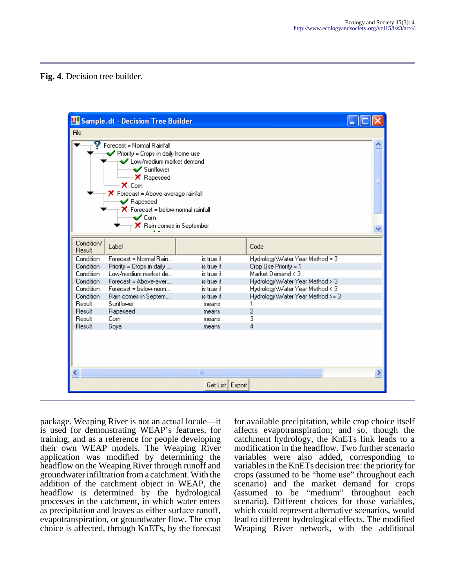#### **Fig. 4**. Decision tree builder.



package. Weaping River is not an actual locale—it is used for demonstrating WEAP's features, for training, and as a reference for people developing their own WEAP models. The Weaping River application was modified by determining the headflow on the Weaping River through runoff and groundwater infiltration from a catchment. With the addition of the catchment object in WEAP, the headflow is determined by the hydrological processes in the catchment, in which water enters as precipitation and leaves as either surface runoff, evapotranspiration, or groundwater flow. The crop choice is affected, through KnETs, by the forecast

for available precipitation, while crop choice itself affects evapotranspiration; and so, though the catchment hydrology, the KnETs link leads to a modification in the headflow. Two further scenario variables were also added, corresponding to variables in the KnETs decision tree: the priority for crops (assumed to be "home use" throughout each scenario) and the market demand for crops (assumed to be "medium" throughout each scenario). Different choices for those variables, which could represent alternative scenarios, would lead to different hydrological effects. The modified Weaping River network, with the additional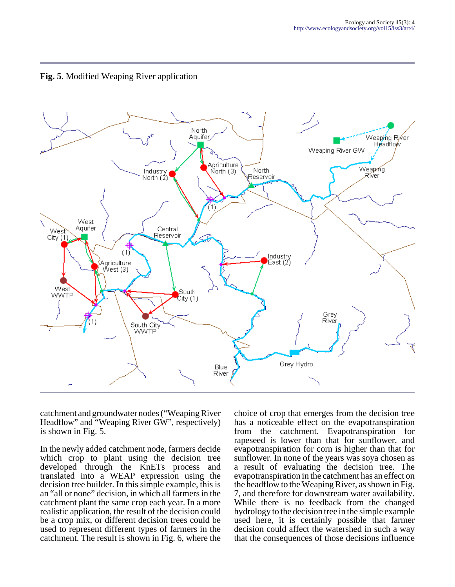

#### **Fig. 5**. Modified Weaping River application

catchment and groundwater nodes ("Weaping River Headflow" and "Weaping River GW", respectively) is shown in Fig. 5.

In the newly added catchment node, farmers decide which crop to plant using the decision tree developed through the KnETs process and translated into a WEAP expression using the decision tree builder. In this simple example, this is an "all or none" decision, in which all farmers in the catchment plant the same crop each year. In a more realistic application, the result of the decision could be a crop mix, or different decision trees could be used to represent different types of farmers in the catchment. The result is shown in Fig. 6, where the

choice of crop that emerges from the decision tree has a noticeable effect on the evapotranspiration from the catchment. Evapotranspiration for rapeseed is lower than that for sunflower, and evapotranspiration for corn is higher than that for sunflower. In none of the years was soya chosen as a result of evaluating the decision tree. The evapotranspiration in the catchment has an effect on the headflow to the Weaping River, as shown in Fig. 7, and therefore for downstream water availability. While there is no feedback from the changed hydrology to the decision tree in the simple example used here, it is certainly possible that farmer decision could affect the watershed in such a way that the consequences of those decisions influence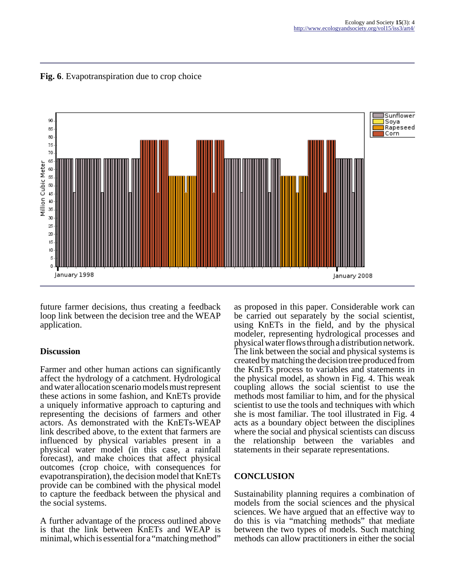



future farmer decisions, thus creating a feedback loop link between the decision tree and the WEAP application.

#### **Discussion**

Farmer and other human actions can significantly affect the hydrology of a catchment. Hydrological and water allocation scenario models must represent these actions in some fashion, and KnETs provide a uniquely informative approach to capturing and representing the decisions of farmers and other actors. As demonstrated with the KnETs-WEAP link described above, to the extent that farmers are influenced by physical variables present in a physical water model (in this case, a rainfall forecast), and make choices that affect physical outcomes (crop choice, with consequences for evapotranspiration), the decision model that KnETs provide can be combined with the physical model to capture the feedback between the physical and the social systems.

A further advantage of the process outlined above is that the link between KnETs and WEAP is minimal, which is essential for a "matching method"

as proposed in this paper. Considerable work can be carried out separately by the social scientist, using KnETs in the field, and by the physical modeler, representing hydrological processes and physical water flows through a distribution network. The link between the social and physical systems is created by matching the decision tree produced from the KnETs process to variables and statements in the physical model, as shown in Fig. 4. This weak coupling allows the social scientist to use the methods most familiar to him, and for the physical scientist to use the tools and techniques with which she is most familiar. The tool illustrated in Fig. 4 acts as a boundary object between the disciplines where the social and physical scientists can discuss the relationship between the variables and statements in their separate representations.

#### **CONCLUSION**

Sustainability planning requires a combination of models from the social sciences and the physical sciences. We have argued that an effective way to do this is via "matching methods" that mediate between the two types of models. Such matching methods can allow practitioners in either the social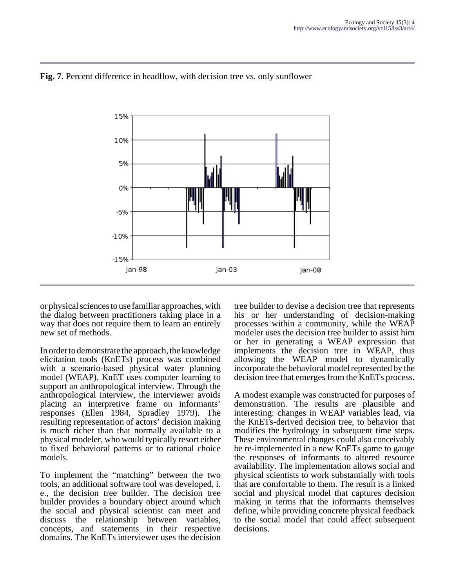

#### **Fig. 7**. Percent difference in headflow, with decision tree vs. only sunflower

or physical sciences to use familiar approaches, with the dialog between practitioners taking place in a way that does not require them to learn an entirely new set of methods.

In order to demonstrate the approach, the knowledge elicitation tools (KnETs) process was combined with a scenario-based physical water planning model (WEAP). KnET uses computer learning to support an anthropological interview. Through the anthropological interview, the interviewer avoids placing an interpretive frame on informants' responses (Ellen 1984, Spradley 1979). The resulting representation of actors' decision making is much richer than that normally available to a physical modeler, who would typically resort either to fixed behavioral patterns or to rational choice models.

To implement the "matching" between the two tools, an additional software tool was developed, i. e., the decision tree builder. The decision tree builder provides a boundary object around which the social and physical scientist can meet and discuss the relationship between variables, concepts, and statements in their respective domains. The KnETs interviewer uses the decision

tree builder to devise a decision tree that represents his or her understanding of decision-making processes within a community, while the WEAP modeler uses the decision tree builder to assist him or her in generating a WEAP expression that implements the decision tree in WEAP, thus allowing the WEAP model to dynamically incorporate the behavioral model represented by the decision tree that emerges from the KnETs process.

A modest example was constructed for purposes of demonstration. The results are plausible and interesting: changes in WEAP variables lead, via the KnETs-derived decision tree, to behavior that modifies the hydrology in subsequent time steps. These environmental changes could also conceivably be re-implemented in a new KnETs game to gauge the responses of informants to altered resource availability. The implementation allows social and physical scientists to work substantially with tools that are comfortable to them. The result is a linked social and physical model that captures decision making in terms that the informants themselves define, while providing concrete physical feedback to the social model that could affect subsequent decisions.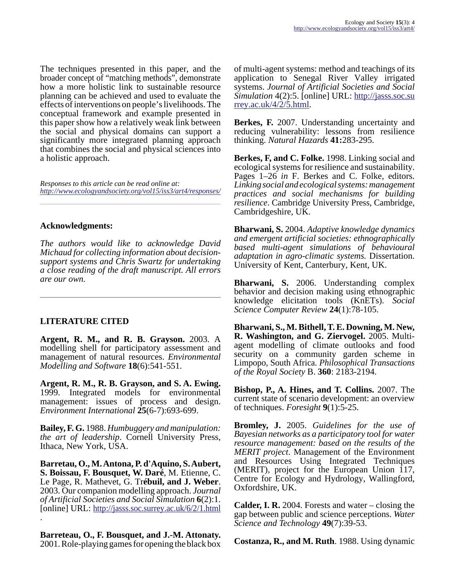The techniques presented in this paper, and the broader concept of "matching methods", demonstrate how a more holistic link to sustainable resource planning can be achieved and used to evaluate the effects of interventions on people's livelihoods. The conceptual framework and example presented in this paper show how a relatively weak link between the social and physical domains can support a significantly more integrated planning approach that combines the social and physical sciences into a holistic approach.

*Responses to this article can be read online at: <http://www.ecologyandsociety.org/vol15/iss3/art4/responses/>*

#### **Acknowledgments:**

*The authors would like to acknowledge David Michaud for collecting information about decisionsupport systems and Chris Swartz for undertaking a close reading of the draft manuscript. All errors are our own.*

## **LITERATURE CITED**

**Argent, R. M., and R. B. Grayson.** 2003. A modelling shell for participatory assessment and management of natural resources. *Environmental Modelling and Software* **18**(6):541-551.

**Argent, R. M., R. B. Grayson, and S. A. Ewing.** 1999. Integrated models for environmental management: issues of process and design. *Environment International* **25**(6-7):693-699.

**Bailey, F. G.** 1988. *Humbuggery and manipulation: the art of leadership*. Cornell University Press, Ithaca, New York, USA.

**Barretau, O., M. Antona, P. d'Aquino, S. Aubert, S. Boissau, F. Bousquet, W. Daré**, M. Etienne, C. Le Page, R. Mathevet, G. Tr**ébuil, and J. Weber**. 2003. Our companion modelling approach. *Journal of Artificial Societies and Social Simulation* **6**(2):1. [online] URL:<http://jasss.soc.surrey.ac.uk/6/2/1.html> .

**Barreteau, O., F. Bousquet, and J.-M. Attonaty.** 2001. Role-playing games for opening the black box of multi-agent systems: method and teachings of its application to Senegal River Valley irrigated systems. *Journal of Artificial Societies and Social Simulation* 4(2):5. [online] URL: [http://jasss.soc.su](http://jasss.soc.surrey.ac.uk/4/2/5.html) [rrey.ac.uk/4/2/5.html.](http://jasss.soc.surrey.ac.uk/4/2/5.html)

**Berkes, F.** 2007. Understanding uncertainty and reducing vulnerability: lessons from resilience thinking. *Natural Hazards* **41:**283-295.

**Berkes, F, and C. Folke.** 1998. Linking social and ecological systems for resilience and sustainability. Pages 1–26 *in* F. Berkes and C. Folke, editors. *Linking social and ecological systems: management practices and social mechanisms for building resilience*. Cambridge University Press, Cambridge, Cambridgeshire, UK.

**Bharwani, S.** 2004. *Adaptive knowledge dynamics and emergent artificial societies: ethnographically based multi-agent simulations of behavioural adaptation in agro-climatic systems.* Dissertation. University of Kent, Canterbury, Kent, UK.

**Bharwani, S.** 2006. Understanding complex behavior and decision making using ethnographic knowledge elicitation tools (KnETs). *Social Science Computer Review* **24**(1):78-105.

**Bharwani, S., M. Bithell, T. E. Downing, M. New, R. Washington, and G. Ziervogel.** 2005. Multiagent modelling of climate outlooks and food security on a community garden scheme in Limpopo, South Africa. *Philosophical Transactions of the Royal Society* B. **360**: 2183-2194.

**Bishop, P., A. Hines, and T. Collins.** 2007. The current state of scenario development: an overview of techniques. *Foresight* **9**(1):5-25.

**Bromley, J.** 2005. *Guidelines for the use of Bayesian networks as a participatory tool for water resource management: based on the results of the MERIT project*. Management of the Environment and Resources Using Integrated Techniques (MERIT), project for the European Union 117, Centre for Ecology and Hydrology, Wallingford, Oxfordshire, UK.

**Calder, I. R.** 2004. Forests and water – closing the gap between public and science perceptions. *Water Science and Technology* **49**(7):39-53.

**Costanza, R., and M. Ruth**. 1988. Using dynamic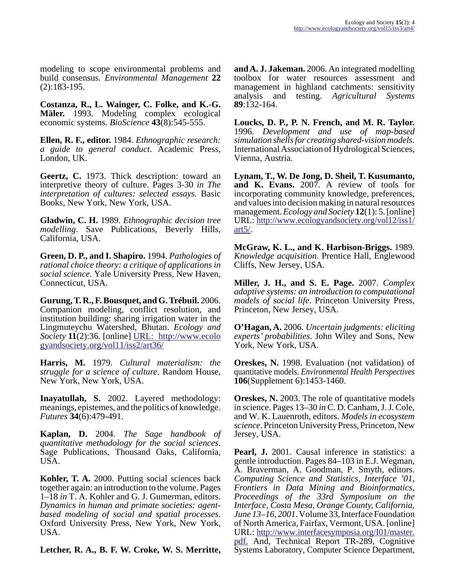modeling to scope environmental problems and build consensus. *Environmental Management* **22** (2):183-195.

**Costanza, R., L. Wainger, C. Folke, and K.-G. Mäler.** 1993. Modeling complex ecological economic systems. *BioScience* **43**(8):545-555.

**Ellen, R. F., editor.** 1984. *Ethnographic research: a guide to general conduct*. Academic Press, London, UK.

**Geertz, C.** 1973. Thick description: toward an interpretive theory of culture. Pages 3-30 *in The interpretation of cultures: selected essays.* Basic Books, New York, New York, USA.

**Gladwin, C. H.** 1989. *Ethnographic decision tree modelling*. Save Publications, Beverly Hills, California, USA.

**Green, D. P., and I. Shapiro.** 1994. *Pathologies of rational choice theory: a critique of applications in social science*. Yale University Press, New Haven, Connecticut, USA.

**Gurung, T. R., F. Bousquet, and G. Trébuil.** 2006. Companion modeling, conflict resolution, and institution building: sharing irrigation water in the Lingmuteychu Watershed, Bhutan. *Ecology and Society* **11**(2):36. [online] [URL: http://www.ecolo](http://www.ecologyandsociety.org/vol11/iss2/art36/) [gyandsociety.org/vol11/iss2/art36/](http://www.ecologyandsociety.org/vol11/iss2/art36/)

**Harris, M.** 1979. *Cultural materialism: the struggle for a science of culture*. Random House, New York, New York, USA.

**Inayatullah, S.** 2002. Layered methodology: meanings, epistemes, and the politics of knowledge. *Futures* **34**(6):479-491.

**Kaplan, D.** 2004. *The Sage handbook of quantitative methodology for the social sciences*. Sage Publications, Thousand Oaks, California, USA.

**Kohler, T. A.** 2000. Putting social sciences back together again: an introduction to the volume. Pages 1–18 *in* T. A. Kohler and G. J. Gumerman, editors. *Dynamics in human and primate societies: agentbased modeling of social and spatial processes*. Oxford University Press, New York, New York, USA.

**Letcher, R. A., B. F. W. Croke, W. S. Merritte,**

**and A. J. Jakeman.** 2006. An integrated modelling toolbox for water resources assessment and management in highland catchments: sensitivity analysis and testing. *Agricultural Systems* **89**:132-164.

**Loucks, D. P., P. N. French, and M. R. Taylor.** 1996. *Development and use of map-based simulation shells for creating shared-vision models*. International Association of Hydrological Sciences, Vienna, Austria.

**Lynam, T., W. De Jong, D. Sheil, T. Kusumanto, and K. Evans.** 2007. A review of tools for incorporating community knowledge, preferences, and values into decision making in natural resources management. *Ecology and Society* **12**(1): 5. [online] URL: [http://www.ecologyandsociety.org/vol12/iss1/](http://www.ecologyandsociety.org/vol12/iss1/art5/) [art5/.](http://www.ecologyandsociety.org/vol12/iss1/art5/)

**McGraw, K. L., and K. Harbison-Briggs.** 1989. *Knowledge acquisition*. Prentice Hall, Englewood Cliffs, New Jersey, USA.

**Miller, J. H., and S. E. Page.** 2007. *Complex adaptive systems: an introduction to computational models of social life*. Princeton University Press, Princeton, New Jersey, USA.

**O'Hagan, A.** 2006. *Uncertain judgments: eliciting experts' probabilities*. John Wiley and Sons, New York, New York, USA.

**Oreskes, N.** 1998. Evaluation (not validation) of quantitative models. *Environmental Health Perspectives* **106**(Supplement 6):1453-1460.

**Oreskes, N.** 2003. The role of quantitative models in science. Pages 13–30 *in* C. D. Canham, J. J. Cole, and W. K. Lauenroth, editors. *Models in ecosystem science*. Princeton University Press, Princeton, New Jersey, USA.

**Pearl, J.** 2001. Causal inference in statistics: a gentle introduction. Pages 84–103 in E.J. Wegman, A. Braverman, A. Goodman, P. Smyth, editors. *Computing Science and Statistics, Interface '01, Frontiers in Data Mining and Bioinformatics, Proceedings of the 33rd Symposium on the Interface, Costa Mesa, Orange County, California, June 13–16, 2001*. Volume 33, Interface Foundation of North America, Fairfax, Vermont, USA. [online] URL: [http://www.interfacesymposia.org/I01/master.](http://ftp.cs.ucla.edu/pub/stat_ser/R289.pdf) [pdf.](http://ftp.cs.ucla.edu/pub/stat_ser/R289.pdf) And, Technical Report TR-289, Cognitive Systems Laboratory, Computer Science Department,